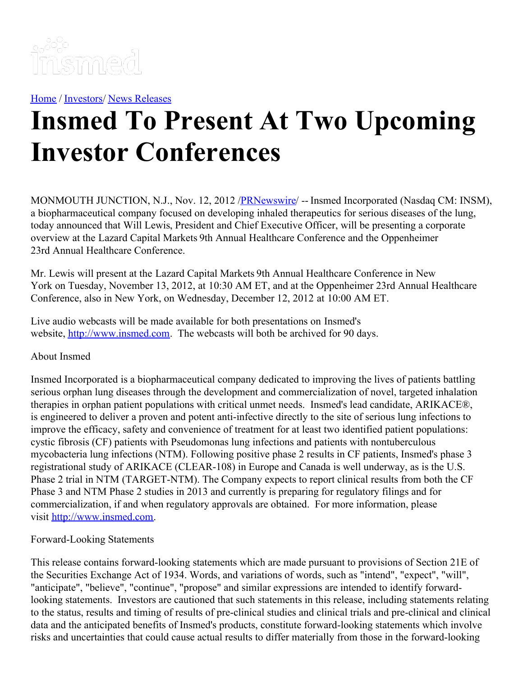

[Home](https://insmed.com/) / [Investors](https://investor.insmed.com/index)/ News [Releases](https://investor.insmed.com/releases)

## **Insmed To Present At Two Upcoming Investor Conferences**

MONMOUTH JUNCTION, N.J., Nov. 12, 2012 /**[PRNewswire](http://www.prnewswire.com/)/** -- Insmed Incorporated (Nasdaq CM: INSM), a biopharmaceutical company focused on developing inhaled therapeutics for serious diseases of the lung, today announced that Will Lewis, President and Chief Executive Officer, will be presenting a corporate overview at the Lazard Capital Markets 9th Annual Healthcare Conference and the Oppenheimer 23rd Annual Healthcare Conference.

Mr. Lewis will present at the Lazard Capital Markets 9th Annual Healthcare Conference in New York on Tuesday, November 13, 2012, at 10:30 AM ET, and at the Oppenheimer 23rd Annual Healthcare Conference, also in New York, on Wednesday, December 12, 2012 at 10:00 AM ET.

Live audio webcasts will be made available for both presentations on Insmed's website, [http://www.insmed.com](http://www.insmed.com/). The webcasts will both be archived for 90 days.

## About Insmed

Insmed Incorporated is a biopharmaceutical company dedicated to improving the lives of patients battling serious orphan lung diseases through the development and commercialization of novel, targeted inhalation therapies in orphan patient populations with critical unmet needs. Insmed's lead candidate, ARIKACE®, is engineered to deliver a proven and potent anti-infective directly to the site of serious lung infections to improve the efficacy, safety and convenience of treatment for at least two identified patient populations: cystic fibrosis (CF) patients with Pseudomonas lung infections and patients with nontuberculous mycobacteria lung infections (NTM). Following positive phase 2 results in CF patients, Insmed's phase 3 registrational study of ARIKACE (CLEAR-108) in Europe and Canada is well underway, as is the U.S. Phase 2 trial in NTM (TARGET-NTM). The Company expects to report clinical results from both the CF Phase 3 and NTM Phase 2 studies in 2013 and currently is preparing for regulatory filings and for commercialization, if and when regulatory approvals are obtained. For more information, please visit [http://www.insmed.com](http://www.insmed.com/).

## Forward-Looking Statements

This release contains forward-looking statements which are made pursuant to provisions of Section 21E of the Securities Exchange Act of 1934. Words, and variations of words, such as "intend", "expect", "will", "anticipate", "believe", "continue", "propose" and similar expressions are intended to identify forwardlooking statements. Investors are cautioned that such statements in this release, including statements relating to the status, results and timing of results of pre-clinical studies and clinical trials and pre-clinical and clinical data and the anticipated benefits of Insmed's products, constitute forward-looking statements which involve risks and uncertainties that could cause actual results to differ materially from those in the forward-looking